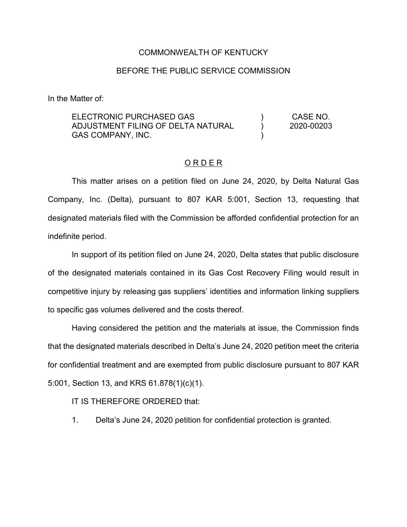## COMMONWEALTH OF KENTUCKY

## BEFORE THE PUBLIC SERVICE COMMISSION

In the Matter of:

ELECTRONIC PURCHASED GAS ADJUSTMENT FILING OF DELTA NATURAL GAS COMPANY, INC. ) ) ) CASE NO. 2020-00203

## O R D E R

This matter arises on a petition filed on June 24, 2020, by Delta Natural Gas Company, Inc. (Delta), pursuant to 807 KAR 5:001, Section 13, requesting that designated materials filed with the Commission be afforded confidential protection for an indefinite period.

In support of its petition filed on June 24, 2020, Delta states that public disclosure of the designated materials contained in its Gas Cost Recovery Filing would result in competitive injury by releasing gas suppliers' identities and information linking suppliers to specific gas volumes delivered and the costs thereof.

Having considered the petition and the materials at issue, the Commission finds that the designated materials described in Delta's June 24, 2020 petition meet the criteria for confidential treatment and are exempted from public disclosure pursuant to 807 KAR 5:001, Section 13, and KRS 61.878(1)(c)(1).

IT IS THEREFORE ORDERED that:

1. Delta's June 24, 2020 petition for confidential protection is granted.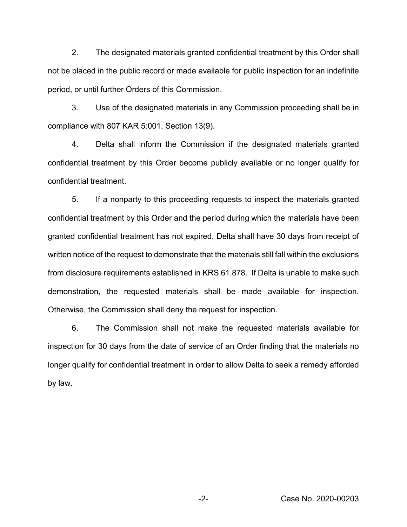2. The designated materials granted confidential treatment by this Order shall not be placed in the public record or made available for public inspection for an indefinite period, or until further Orders of this Commission.

3. Use of the designated materials in any Commission proceeding shall be in compliance with 807 KAR 5:001, Section 13(9).

4. Delta shall inform the Commission if the designated materials granted confidential treatment by this Order become publicly available or no longer qualify for confidential treatment.

5. If a nonparty to this proceeding requests to inspect the materials granted confidential treatment by this Order and the period during which the materials have been granted confidential treatment has not expired, Delta shall have 30 days from receipt of written notice of the request to demonstrate that the materials still fall within the exclusions from disclosure requirements established in KRS 61.878. If Delta is unable to make such demonstration, the requested materials shall be made available for inspection. Otherwise, the Commission shall deny the request for inspection.

6. The Commission shall not make the requested materials available for inspection for 30 days from the date of service of an Order finding that the materials no longer qualify for confidential treatment in order to allow Delta to seek a remedy afforded by law.

-2- Case No. 2020-00203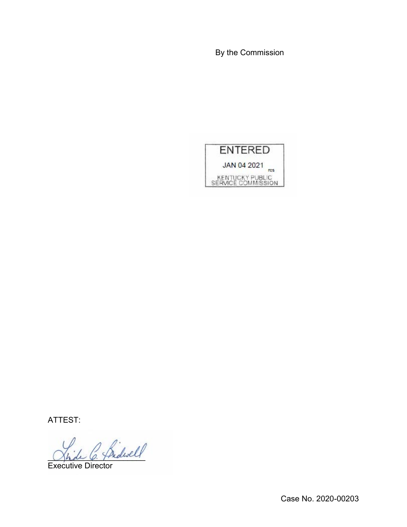By the Commission



ATTEST:

Shole C. Thedwar

Executive Director

Case No. 2020-00203